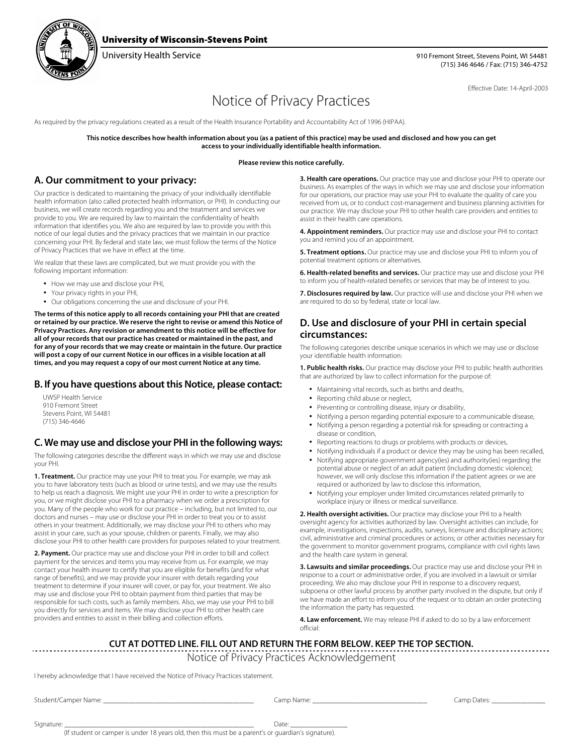

### University of Wisconsin-Stevens Point

University Health Service 910 Fremont Street, Stevens Point, WI 54481 (715) 346 4646 / Fax: (715) 346-4752

Effective Date: 14-April-2003

# Notice of Privacy Practices

As required by the privacy regulations created as a result of the Health Insurance Portability and Accountability Act of 1996 (HIPAA).

**This notice describes how health information about you (as a patient of this practice) may be used and disclosed and how you can get access to your individually identifiable health information.**

#### **Please review this notice carefully.**

#### **A. Our commitment to your privacy:**

Our practice is dedicated to maintaining the privacy of your individually identifiable health information (also called protected health information, or PHI). In conducting our business, we will create records regarding you and the treatment and services we provide to you. We are required by law to maintain the confidentiality of health information that identifies you. We also are required by law to provide you with this notice of our legal duties and the privacy practices that we maintain in our practice concerning your PHI. By federal and state law, we must follow the terms of the Notice of Privacy Practices that we have in effect at the time.

We realize that these laws are complicated, but we must provide you with the following important information:

- How we may use and disclose your PHI,
- Your privacy rights in your PHI,
- Our obligations concerning the use and disclosure of your PHI.

**The terms of this notice apply to all records containing your PHI that are created or retained by our practice. We reserve the right to revise or amend this Notice of Privacy Practices. Any revision or amendment to this notice will be effective for all of your records that our practice has created or maintained in the past, and for any of your records that we may create or maintain in the future. Our practice will post a copy of our current Notice in our offices in a visible location at all times, and you may request a copy of our most current Notice at any time.**

#### **B. If you have questions about this Notice, please contact:**

UWSP Health Service 910 Fremont Street Stevens Point, WI 54481 (715) 346-4646

#### **C. We may use and disclose your PHI in the following ways:**

The following categories describe the different ways in which we may use and disclose your PHI.

**1. Treatment.** Our practice may use your PHI to treat you. For example, we may ask you to have laboratory tests (such as blood or urine tests), and we may use the results to help us reach a diagnosis. We might use your PHI in order to write a prescription for you, or we might disclose your PHI to a pharmacy when we order a prescription for you. Many of the people who work for our practice – including, but not limited to, our doctors and nurses – may use or disclose your PHI in order to treat you or to assist others in your treatment. Additionally, we may disclose your PHI to others who may assist in your care, such as your spouse, children or parents. Finally, we may also disclose your PHI to other health care providers for purposes related to your treatment.

**2. Payment.** Our practice may use and disclose your PHI in order to bill and collect payment for the services and items you may receive from us. For example, we may contact your health insurer to certify that you are eligible for benefits (and for what range of benefits), and we may provide your insurer with details regarding your treatment to determine if your insurer will cover, or pay for, your treatment. We also may use and disclose your PHI to obtain payment from third parties that may be responsible for such costs, such as family members. Also, we may use your PHI to bill you directly for services and items. We may disclose your PHI to other health care providers and entities to assist in their billing and collection efforts.

**3. Health care operations.** Our practice may use and disclose your PHI to operate our business. As examples of the ways in which we may use and disclose your information for our operations, our practice may use your PHI to evaluate the quality of care you received from us, or to conduct cost-management and business planning activities for our practice. We may disclose your PHI to other health care providers and entities to assist in their health care operations.

**4. Appointment reminders.** Our practice may use and disclose your PHI to contact you and remind you of an appointment.

**5. Treatment options.** Our practice may use and disclose your PHI to inform you of potential treatment options or alternatives.

**6. Health-related benefits and services.** Our practice may use and disclose your PHI to inform you of health-related benefits or services that may be of interest to you.

**7. Disclosures required by law.** Our practice will use and disclose your PHI when we are required to do so by federal, state or local law.

#### **D. Use and disclosure of your PHI in certain special circumstances:**

The following categories describe unique scenarios in which we may use or disclose your identifiable health information:

**1. Public health risks.** Our practice may disclose your PHI to public health authorities that are authorized by law to collect information for the purpose of:

- Maintaining vital records, such as births and deaths,
- Reporting child abuse or neglect,
- Preventing or controlling disease, injury or disability,
- Notifying a person regarding potential exposure to a communicable disease,
- Notifying a person regarding a potential risk for spreading or contracting a disease or condition,
- Reporting reactions to drugs or problems with products or devices,
- Notifying individuals if a product or device they may be using has been recalled, • Notifying appropriate government agency(ies) and authority(ies) regarding the
- potential abuse or neglect of an adult patient (including domestic violence); however, we will only disclose this information if the patient agrees or we are required or authorized by law to disclose this information,
- Notifying your employer under limited circumstances related primarily to workplace injury or illness or medical surveillance.

**2. Health oversight activities.** Our practice may disclose your PHI to a health oversight agency for activities authorized by law. Oversight activities can include, for example, investigations, inspections, audits, surveys, licensure and disciplinary actions; civil, administrative and criminal procedures or actions; or other activities necessary for the government to monitor government programs, compliance with civil rights laws and the health care system in general.

**3. Lawsuits and similar proceedings.** Our practice may use and disclose your PHI in response to a court or administrative order, if you are involved in a lawsuit or similar proceeding. We also may disclose your PHI in response to a discovery request, subpoena or other lawful process by another party involved in the dispute, but only if we have made an effort to inform you of the request or to obtain an order protecting the information the party has requested.

**4. Law enforcement.** We may release PHI if asked to do so by a law enforcement official:

## **CUT AT DOTTED LINE. FILL OUT AND RETURN THE FORM BELOW. KEEP THE TOP SECTION.**

Notice of Privacy Practices Acknowledgement

I hereby acknowledge that I have received the Notice of Privacy Practices statement.

Student/Camper Name: \_\_\_\_\_\_\_\_\_\_\_\_\_\_\_\_\_\_\_\_\_\_\_\_\_\_\_\_\_\_\_\_\_\_\_\_\_\_\_\_\_\_ Camp Name: \_\_\_\_\_\_\_\_\_\_\_\_\_\_\_\_\_\_\_\_\_\_\_\_\_\_\_\_\_\_\_\_ Camp Dates: \_\_\_\_\_\_\_\_\_\_\_\_\_\_\_

Signature: \_\_\_\_\_\_\_\_\_\_\_\_\_\_\_\_\_\_\_\_\_\_\_\_\_\_\_\_\_\_\_\_\_\_\_\_\_\_\_\_\_\_\_\_\_\_\_\_\_\_\_\_\_ Date: \_\_\_\_\_\_\_\_\_\_\_\_\_\_\_\_

(If student or camper is under 18 years old, then this must be a parent's or guardian's signature).